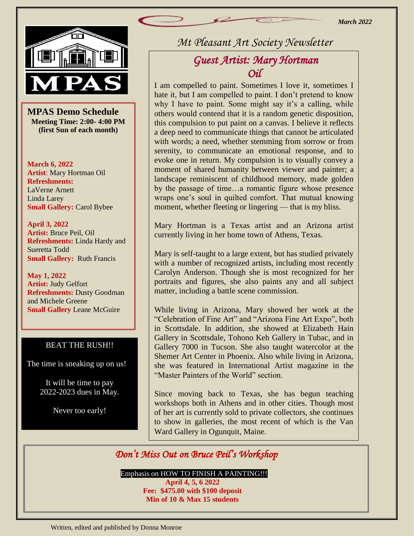

|<br>S<br>ing **MPAS Demo Schedule Meeting Time: 2:00- 4:00 PM (first Sun of each month)**

**March 6, 2022 Artist**: Mary Hortman Oil **Refreshments:**  LaVerne Arnett Linda Larey **Small Gallery:** Carol Bybee

**April 3, 2022 Artist:** Bruce Peil, Oil **Refreshments:** Linda Hardy and Sueretta Todd **Small Gallery:** Ruth Francis

**May 1, 2022 Artist:** Judy Gelfort **Refreshments:** Dusty Goodman and Michele Greene **Small Gallery Leane McGuire** 

#### BEAT THE RUSH!!

The time is sneaking up on us!

It will be time to pay 2022-2023 dues in May.

I I

Never too early!

*Mt Pleasant Art Society Newsletter*

# *Guest Artist: Mary Hortman Oil*

I am compelled to paint. Sometimes I love it, sometimes I hate it, but I am compelled to paint. I don't pretend to know why I have to paint. Some might say it's a calling, while others would contend that it is a random genetic disposition, this compulsion to put paint on a canvas. I believe it reflects a deep need to communicate things that cannot be articulated with words; a need, whether stemming from sorrow or from serenity, to communicate an emotional response, and to evoke one in return. My compulsion is to visually convey a moment of shared humanity between viewer and painter; a landscape reminiscent of childhood memory, made golden by the passage of time…a romantic figure whose presence wraps one's soul in quilted comfort. That mutual knowing moment, whether fleeting or lingering — that is my bliss.

Mary Hortman is a Texas artist and an Arizona artist currently living in her home town of Athens, Texas.

Mary is self-taught to a large extent, but has studied privately with a number of recognized artists, including most recently Carolyn Anderson. Though she is most recognized for her portraits and figures, she also paints any and all subject matter, including a battle scene commission.

While living in Arizona, Mary showed her work at the "Celebration of Fine Art" and "Arizona Fine Art Expo", both in Scottsdale. In addition, she showed at Elizabeth Hain Gallery in Scottsdale, Tohono Keh Gallery in Tubac, and in Gallery 7000 in Tucson. She also taught watercolor at the Shemer Art Center in Phoenix. Also while living in Arizona, she was featured in International Artist magazine in the "Master Painters of the World" section.

Since moving back to Texas, she has begun teaching workshops both in Athens and in other cities. Though most of her art is currently sold to private collectors, she continues to show in galleries, the most recent of which is the Van Ward Gallery in Ogunquit, Maine.

### *Don't Miss Out on Bruce Peil's Workshop*

Emphasis on HOW TO FINISH A PAINTING!!!

**April 4, 5, 6 2022 Fee: \$475.00 with \$100 deposit Min of 10 & Max 15 students**